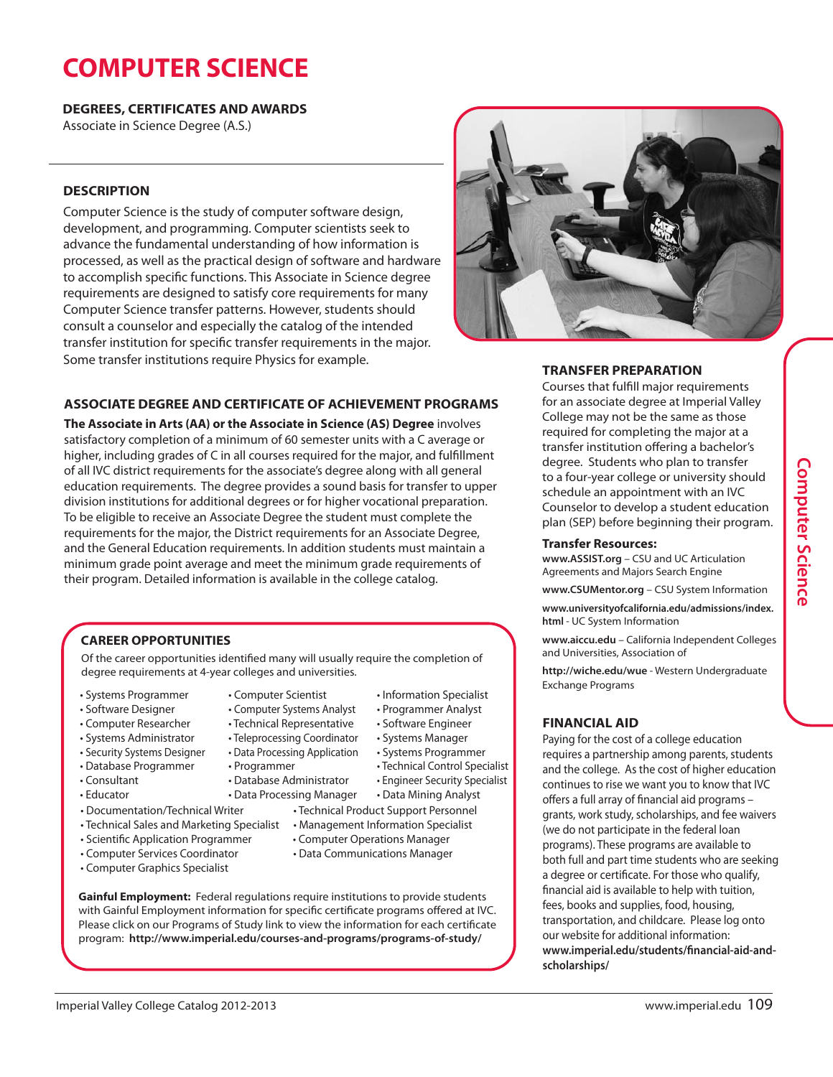# **COMPUTER SCIENCE**

**DEGREES, CERTIFICATES AND AWARDS**

Associate in Science Degree (A.S.)

## **DESCRIPTION**

Computer Science is the study of computer software design, development, and programming. Computer scientists seek to advance the fundamental understanding of how information is processed, as well as the practical design of software and hardware to accomplish specific functions. This Associate in Science degree requirements are designed to satisfy core requirements for many Computer Science transfer patterns. However, students should consult a counselor and especially the catalog of the intended transfer institution for specific transfer requirements in the major. Some transfer institutions require Physics for example.



## **ASSOCIATE DEGREE AND CERTIFICATE OF ACHIEVEMENT PROGRAMS**

**The Associate in Arts (AA) or the Associate in Science (AS) Degree** involves satisfactory completion of a minimum of 60 semester units with a C average or higher, including grades of C in all courses required for the major, and fulfillment of all IVC district requirements for the associate's degree along with all general education requirements. The degree provides a sound basis for transfer to upper division institutions for additional degrees or for higher vocational preparation. To be eligible to receive an Associate Degree the student must complete the requirements for the major, the District requirements for an Associate Degree, and the General Education requirements. In addition students must maintain a minimum grade point average and meet the minimum grade requirements of their program. Detailed information is available in the college catalog.

## **CAREER OPPORTUNITIES**

Of the career opportunities identified many will usually require the completion of degree requirements at 4-year colleges and universities.

- Systems Programmer
- Software Designer
- Computer Researcher
- Systems Administrator
- Security Systems Designer
- Database Programmer
- Consultant
- Educator
- 
- 
- 
- Computer Graphics Specialist

• Computer Scientist • Computer Systems Analyst

• Database Administrator

- Technical Representative
- Teleprocessing Coordinator
- Data Processing Application • Systems Manager • Systems Programmer
	- - Technical Control Specialist • Engineer Security Specialist

• Information Specialist • Programmer Analyst • Software Engineer

- Data Mining Analyst
- 
- 
- 
- 
- 

**Gainful Employment:** Federal regulations require institutions to provide students with Gainful Employment information for specific certificate programs offered at IVC. Please click on our Programs of Study link to view the information for each certificate program: **http://www.imperial.edu/courses-and-programs/programs-of-study/**

## **TRANSFER PREPARATION**

Courses that fulfill major requirements for an associate degree at Imperial Valley College may not be the same as those required for completing the major at a transfer institution offering a bachelor's degree. Students who plan to transfer to a four-year college or university should schedule an appointment with an IVC Counselor to develop a student education plan (SEP) before beginning their program.

#### **Transfer Resources:**

**www.ASSIST.org** – CSU and UC Articulation Agreements and Majors Search Engine

**www.CSUMentor.org** – CSU System Information

**www.universityofcalifornia.edu/admissions/index. html** - UC System Information

**www.aiccu.edu** – California Independent Colleges and Universities, Association of

**http://wiche.edu/wue** - Western Undergraduate Exchange Programs

### **FINANCIAL AID**

Paying for the cost of a college education requires a partnership among parents, students and the college. As the cost of higher education continues to rise we want you to know that IVC offers a full array of financial aid programs – grants, work study, scholarships, and fee waivers (we do not participate in the federal loan programs). These programs are available to both full and part time students who are seeking a degree or certificate. For those who qualify, financial aid is available to help with tuition, fees, books and supplies, food, housing, transportation, and childcare. Please log onto our website for additional information: **www.imperial.edu/students/financial-aid-andscholarships/**

- Data Processing Manager • Documentation/Technical Writer • Technical Product Support Personnel
- Technical Sales and Marketing Specialist Management Information Specialist
- Scientific Application Programmer Computer Operations Manager
- Computer Services Coordinator Data Communications Manager

• Programmer